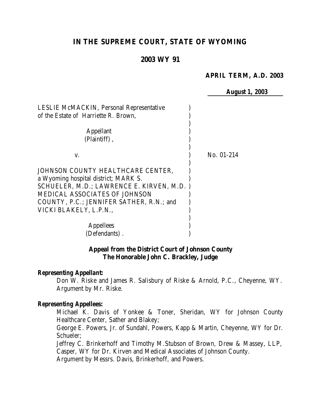# **IN THE SUPREME COURT, STATE OF WYOMING**

## **2003 WY 91**

### **APRIL TERM, A.D. 2003**

*August 1, 2003*

| LESLIE McMACKIN, Personal Representative  |              |
|-------------------------------------------|--------------|
| of the Estate of Harriette R. Brown,      |              |
|                                           |              |
| <b>Appellant</b>                          |              |
| (Plaintiff).                              |              |
|                                           |              |
| V.                                        | No. $01-214$ |
|                                           |              |
| JOHNSON COUNTY HEALTHCARE CENTER,         |              |
| a Wyoming hospital district; MARK S.      |              |
| SCHUELER, M.D.; LAWRENCE E. KIRVEN, M.D.) |              |
| MEDICAL ASSOCIATES OF JOHNSON             |              |
| COUNTY, P.C.; JENNIFER SATHER, R.N.; and  |              |
| VICKI BLAKELY, L.P.N.,                    |              |
|                                           |              |
| <b>Appellees</b>                          |              |
| (Defendants).                             |              |
|                                           |              |

### **Appeal from the District Court of Johnson County The Honorable John C. Brackley, Judge**

#### *Representing Appellant:*

Don W. Riske and James R. Salisbury of Riske & Arnold, P.C., Cheyenne, WY. Argument by Mr. Riske.

### *Representing Appellees:*

Michael K. Davis of Yonkee & Toner, Sheridan, WY for Johnson County Healthcare Center, Sather and Blakey;

George E. Powers, Jr. of Sundahl, Powers, Kapp & Martin, Cheyenne, WY for Dr. Schueler;

Jeffrey C. Brinkerhoff and Timothy M.Stubson of Brown, Drew & Massey, LLP, Casper, WY for Dr. Kirven and Medical Associates of Johnson County.

Argument by Messrs. Davis, Brinkerhoff, and Powers.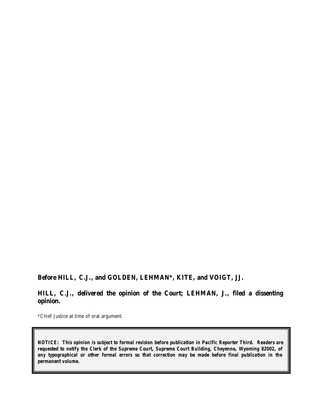**Before HILL, C.J., and GOLDEN, LEHMAN\*, KITE, and VOIGT, JJ.**

**HILL, C.J., delivered the opinion of the Court; LEHMAN, J., filed a dissenting opinion.**

\*Chief Justice at time of oral argument.

*NOTICE: This opinion is subject to formal revision before publication in Pacific Reporter Third. Readers are requested to notify the Clerk of the Supreme Court, Supreme Court Building, Cheyenne, Wyoming 82002, of any typographical or other formal errors so that correction may be made before final publication in the permanent volume.*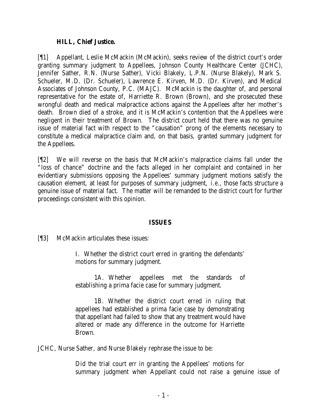## **HILL, Chief Justice.**

[¶1] Appellant, Leslie McMackin (McMackin), seeks review of the district court's order granting summary judgment to Appellees, Johnson County Healthcare Center (JCHC), Jennifer Sather, R.N. (Nurse Sather), Vicki Blakely, L.P.N. (Nurse Blakely), Mark S. Schueler, M.D. (Dr. Schueler), Lawrence E. Kirven, M.D. (Dr. Kirven), and Medical Associates of Johnson County, P.C. (MAJC). McMackin is the daughter of, and personal representative for the estate of, Harriette R. Brown (Brown), and she prosecuted these wrongful death and medical malpractice actions against the Appellees after her mother's death. Brown died of a stroke, and it is McMackin's contention that the Appellees were negligent in their treatment of Brown. The district court held that there was no genuine issue of material fact with respect to the "causation" prong of the elements necessary to constitute a medical malpractice claim and, on that basis, granted summary judgment for the Appellees.

[¶2] We will reverse on the basis that McMackin's malpractice claims fall under the "loss of chance" doctrine and the facts alleged in her complaint and contained in her evidentiary submissions opposing the Appellees' summary judgment motions satisfy the causation element, at least for purposes of summary judgment, *i.e.*, those facts structure a genuine issue of material fact. The matter will be remanded to the district court for further proceedings consistent with this opinion.

## **ISSUES**

[¶3] McMackin articulates these issues:

I. Whether the district court erred in granting the defendants' motions for summary judgment.

1A. Whether appellees met the standards of establishing a prima facie case for summary judgment.

1B. Whether the district court erred in ruling that appellees had established a prima facie case by demonstrating that appellant had failed to show that any treatment would have altered or made any difference in the outcome for Harriette Brown.

JCHC, Nurse Sather, and Nurse Blakely rephrase the issue to be:

Did the trial court err in granting the Appellees' motions for summary judgment when Appellant could not raise a genuine issue of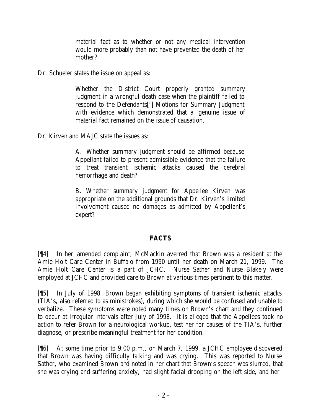material fact as to whether or not any medical intervention would more probably than not have prevented the death of her mother?

Dr. Schueler states the issue on appeal as:

Whether the District Court properly granted summary judgment in a wrongful death case when the plaintiff failed to respond to the Defendants['] Motions for Summary Judgment with evidence which demonstrated that a genuine issue of material fact remained on the issue of causation.

Dr. Kirven and MAJC state the issues as:

A. Whether summary judgment should be affirmed because Appellant failed to present admissible evidence that the failure to treat transient ischemic attacks caused the cerebral hemorrhage and death?

B. Whether summary judgment for Appellee Kirven was appropriate on the additional grounds that Dr. Kirven's limited involvement caused no damages as admitted by Appellant's expert?

# **FACTS**

[¶4] In her amended complaint, McMackin averred that Brown was a resident at the Amie Holt Care Center in Buffalo from 1990 until her death on March 21, 1999. The Amie Holt Care Center is a part of JCHC. Nurse Sather and Nurse Blakely were employed at JCHC and provided care to Brown at various times pertinent to this matter.

[¶5] In July of 1998, Brown began exhibiting symptoms of transient ischemic attacks (TIA's, also referred to as ministrokes), during which she would be confused and unable to verbalize. These symptoms were noted many times on Brown's chart and they continued to occur at irregular intervals after July of 1998. It is alleged that the Appellees took no action to refer Brown for a neurological workup, test her for causes of the TIA's, further diagnose, or prescribe meaningful treatment for her condition.

[¶6] At some time prior to 9:00 p.m., on March 7, 1999, a JCHC employee discovered that Brown was having difficulty talking and was crying. This was reported to Nurse Sather, who examined Brown and noted in her chart that Brown's speech was slurred, that she was crying and suffering anxiety, had slight facial drooping on the left side, and her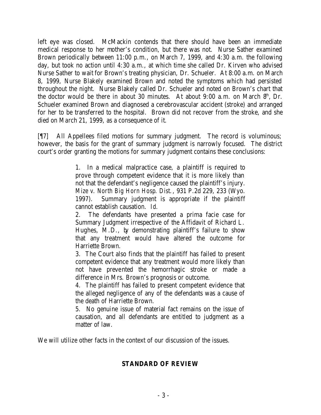left eye was closed. McMackin contends that there should have been an immediate medical response to her mother's condition, but there was not. Nurse Sather examined Brown periodically between 11:00 p.m., on March 7, 1999, and 4:30 a.m. the following day, but took no action until 4:30 a.m., at which time she called Dr. Kirven who advised Nurse Sather to wait for Brown's treating physician, Dr. Schueler. At 8:00 a.m. on March 8, 1999, Nurse Blakely examined Brown and noted the symptoms which had persisted throughout the night. Nurse Blakely called Dr. Schueler and noted on Brown's chart that the doctor would be there in about 30 minutes. At about 9:00 a.m. on March  $8<sup>th</sup>$ , Dr. Schueler examined Brown and diagnosed a cerebrovascular accident (stroke) and arranged for her to be transferred to the hospital. Brown did not recover from the stroke, and she died on March 21, 1999, as a consequence of it.

[¶7] All Appellees filed motions for summary judgment. The record is voluminous; however, the basis for the grant of summary judgment is narrowly focused. The district court's order granting the motions for summary judgment contains these conclusions:

> 1. In a medical malpractice case, a plaintiff is required to prove through competent evidence that it is more likely than not that the defendant's negligence caused the plaintiff's injury. *Mize v. North Big Horn Hosp. Dist.*, 931 P.2d 229, 233 (Wyo. 1997). Summary judgment is appropriate if the plaintiff cannot establish causation. *Id*.

> 2. The defendants have presented a prima facie case for Summary Judgment irrespective of the Affidavit of Richard L. Hughes, M.D., by demonstrating plaintiff's failure to show that any treatment would have altered the outcome for Harriette Brown.

> 3. The Court also finds that the plaintiff has failed to present competent evidence that any treatment would more likely than not have prevented the hemorrhagic stroke or made a difference in Mrs. Brown's prognosis or outcome.

> 4. The plaintiff has failed to present competent evidence that the alleged negligence of any of the defendants was a cause of the death of Harriette Brown.

> 5. No genuine issue of material fact remains on the issue of causation, and all defendants are entitled to judgment as a matter of law.

We will utilize other facts in the context of our discussion of the issues.

# **STANDARD OF REVIEW**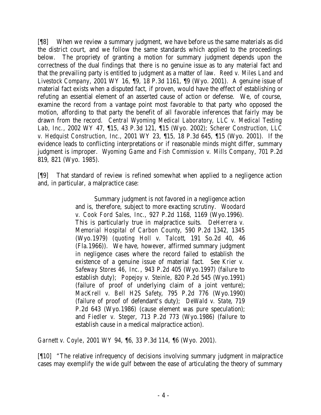[¶8] When we review a summary judgment, we have before us the same materials as did the district court, and we follow the same standards which applied to the proceedings below. The propriety of granting a motion for summary judgment depends upon the correctness of the dual findings that there is no genuine issue as to any material fact and that the prevailing party is entitled to judgment as a matter of law. *Reed v. Miles Land and Livestock Company*, 2001 WY 16, ¶9, 18 P.3d 1161, ¶9 (Wyo. 2001). A genuine issue of material fact exists when a disputed fact, if proven, would have the effect of establishing or refuting an essential element of an asserted cause of action or defense. We, of course, examine the record from a vantage point most favorable to that party who opposed the motion, affording to that party the benefit of all favorable inferences that fairly may be drawn from the record. *Central Wyoming Medical Laboratory, LLC v. Medical Testing Lab, Inc.*, 2002 WY 47, ¶15, 43 P.3d 121, ¶15 (Wyo. 2002); *Scherer Construction, LLC v. Hedquist Construction, Inc.*, 2001 WY 23, ¶15, 18 P.3d 645, ¶15 (Wyo. 2001). If the evidence leads to conflicting interpretations or if reasonable minds might differ, summary judgment is improper. *Wyoming Game and Fish Commission v. Mills Company*, 701 P.2d 819, 821 (Wyo. 1985).

[¶9] That standard of review is refined somewhat when applied to a negligence action and, in particular, a malpractice case:

> Summary judgment is not favored in a negligence action and is, therefore, subject to more exacting scrutiny. *Woodard v. Cook Ford Sales, Inc.*, 927 P.2d 1168, 1169 (Wyo.1996). This is particularly true in malpractice suits. *DeHerrera v. Memorial Hospital of Carbon County*, 590 P.2d 1342, 1345 (Wyo.1979) (*quoting Holl v. Talcott*, 191 So.2d 40, 46 (Fla.1966)). We have, however, affirmed summary judgment in negligence cases where the record failed to establish the existence of a genuine issue of material fact. *See Krier v. Safeway Stores 46, Inc.*, 943 P.2d 405 (Wyo.1997) (failure to establish duty); *Popejoy v. Steinle*, 820 P.2d 545 (Wyo.1991) (failure of proof of underlying claim of a joint venture); *MacKrell v. Bell H2S Safety*, 795 P.2d 776 (Wyo.1990) (failure of proof of defendant's duty); *DeWald v. State*, 719 P.2d 643 (Wyo.1986) (cause element was pure speculation); and *Fiedler v. Steger*, 713 P.2d 773 (Wyo.1986) (failure to establish cause in a medical malpractice action).

*Garnett v. Coyle*, 2001 WY 94, ¶6, 33 P.3d 114, ¶6 (Wyo. 2001).

[¶10] "The relative infrequency of decisions involving summary judgment in malpractice cases may exemplify the wide gulf between the ease of articulating the theory of summary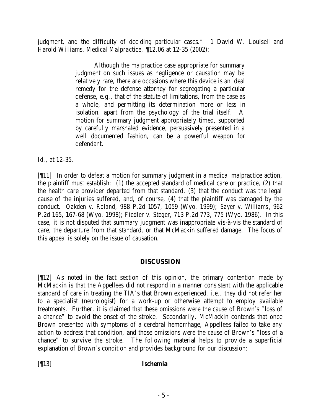judgment, and the difficulty of deciding particular cases." 1 David W. Louisell and Harold Williams, *Medical Malpractice,* ¶12.06 at 12-35 (2002):

> Although the malpractice case appropriate for summary judgment on such issues as negligence or causation may be relatively rare, there are occasions where this device is an ideal remedy for the defense attorney for segregating a particular defense, e.g., that of the statute of limitations, from the case as a whole, and permitting its determination more or less in isolation, apart from the psychology of the trial itself. A motion for summary judgment appropriately timed, supported by carefully marshaled evidence, persuasively presented in a well documented fashion, can be a powerful weapon for defendant.

*Id*., at 12-35.

[¶11] In order to defeat a motion for summary judgment in a medical malpractice action, the plaintiff must establish: (1) the accepted standard of medical care or practice, (2) that the health care provider departed from that standard, (3) that the conduct was the legal cause of the injuries suffered, and, of course, (4) that the plaintiff was damaged by the conduct. *Oakden v. Roland*, 988 P.2d 1057, 1059 (Wyo. 1999); *Sayer v. Williams*, 962 P.2d 165, 167-68 (Wyo. 1998); *Fiedler v. Steger*, 713 P.2d 773, 775 (Wyo. 1986). In this case, it is not disputed that summary judgment was inappropriate vis-à-vis the standard of care, the departure from that standard, or that McMackin suffered damage. The focus of this appeal is solely on the issue of causation.

# **DISCUSSION**

[¶12] As noted in the fact section of this opinion, the primary contention made by McMackin is that the Appellees did not respond in a manner consistent with the applicable standard of care in treating the TIA's that Brown experienced, *i.e.*, they did not refer her to a specialist (neurologist) for a work-up or otherwise attempt to employ available treatments. Further, it is claimed that these omissions were the cause of Brown's "loss of a chance" to avoid the onset of the stroke. Secondarily, McMackin contends that once Brown presented with symptoms of a cerebral hemorrhage, Appellees failed to take any action to address that condition, and those omissions were the cause of Brown's "loss of a chance" to survive the stroke. The following material helps to provide a superficial explanation of Brown's condition and provides background for our discussion:

[¶13] **Ischemia**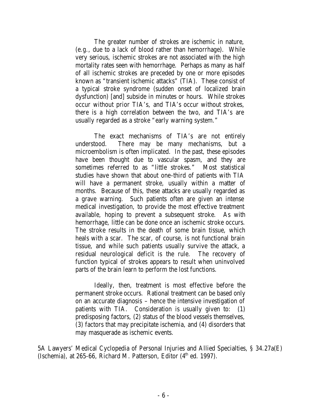The greater number of strokes are ischemic in nature, (e.g., due to a lack of blood rather than hemorrhage). While very serious, ischemic strokes are not associated with the high mortality rates seen with hemorrhage. Perhaps as many as half of all ischemic strokes are preceded by one or more episodes known as "transient ischemic attacks" (TIA). These consist of a typical stroke syndrome (sudden onset of localized brain dysfunction) [and] subside in minutes or hours. While strokes occur without prior TIA's, and TIA's occur without strokes, there is a high correlation between the two, and TIA's are usually regarded as a stroke "early warning system."

The exact mechanisms of TIA's are not entirely understood. There may be many mechanisms, but a microembolism is often implicated. In the past, these episodes have been thought due to vascular spasm, and they are sometimes referred to as "little strokes." Most statistical studies have shown that about one-third of patients with TIA will have a permanent stroke, usually within a matter of months. Because of this, these attacks are usually regarded as a grave warning. Such patients often are given an intense medical investigation, to provide the most effective treatment available, hoping to prevent a subsequent stroke. As with hemorrhage, little can be done once an ischemic stroke occurs. The stroke results in the death of some brain tissue, which heals with a scar. The scar, of course, is not functional brain tissue, and while such patients usually survive the attack, a residual neurological deficit is the rule. The recovery of function typical of strokes appears to result when uninvolved parts of the brain learn to perform the lost functions.

Ideally, then, treatment is most effective before the permanent stroke occurs. Rational treatment can be based only on an accurate diagnosis – hence the intensive investigation of patients with TIA. Consideration is usually given to: (1) predisposing factors, (2) status of the blood vessels themselves, (3) factors that may precipitate ischemia, and (4) disorders that may masquerade as ischemic events.

5A Lawyers' Medical Cyclopedia of Personal Injuries and Allied Specialties, § 34.27a(E) (Ischemia), at 265-66, Richard M. Patterson, Editor  $(4<sup>th</sup>$  ed. 1997).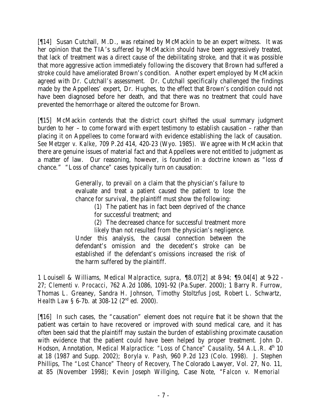[¶14] Susan Cutchall, M.D., was retained by McMackin to be an expert witness. It was her opinion that the TIA's suffered by McMackin should have been aggressively treated, that lack of treatment was a direct cause of the debilitating stroke, and that it was possible that more aggressive action immediately following the discovery that Brown had suffered a stroke could have ameliorated Brown's condition. Another expert employed by McMackin agreed with Dr. Cutchall's assessment. Dr. Cutchall specifically challenged the findings made by the Appellees' expert, Dr. Hughes, to the effect that Brown's condition could not have been diagnosed before her death, and that there was no treatment that could have prevented the hemorrhage or altered the outcome for Brown.

[¶15] McMackin contends that the district court shifted the usual summary judgment burden to her – to come forward with expert testimony to establish causation – rather than placing it on Appellees to come forward with evidence establishing the lack of causation. *See Metzger v. Kalke*, 709 P.2d 414, 420-23 (Wyo. 1985). We agree with McMackin that there are genuine issues of material fact and that Appellees were not entitled to judgment as a matter of law. Our reasoning, however, is founded in a doctrine known as "loss of chance." "Loss of chance" cases typically turn on causation:

> Generally, to prevail on a claim that the physician's failure to evaluate and treat a patient caused the patient to lose the chance for survival, the plaintiff must show the following:

> > (1) The patient has in fact been deprived of the chance for successful treatment; and

> > (2) The decreased chance for successful treatment more

likely than not resulted from the physician's negligence. Under this analysis, the causal connection between the defendant's omission and the decedent's stroke can be established if the defendant's omissions increased the risk of the harm suffered by the plaintiff.

1 Louisell & Williams, *Medical Malpractice, supra,* ¶8.07[2] at 8-94; ¶9.04[4] at 9-22 - 27; *Clementi v. Procacci*, 762 A.2d 1086, 1091-92 (Pa.Super. 2000); 1 Barry R. Furrow, Thomas L. Greaney, Sandra H. Johnson, Timothy Stoltzfus Jost, Robert L. Schwartz, *Health Law* § 6-7b. at 308-12 (2<sup>nd</sup> ed. 2000).

[¶16] In such cases, the "causation" element does not require that it be shown that the patient was certain to have recovered or improved with sound medical care, and it has often been said that the plaintiff may sustain the burden of establishing proximate causation with evidence that the patient could have been helped by proper treatment. John D. Hodson, Annotation, *Medical Malpractice: "Loss of Chance" Causality*, 54 A.L.R. 4<sup>th</sup> 10 at 18 (1987 and Supp. 2002); *Boryla v. Pash*, 960 P.2d 123 (Colo. 1998). J. Stephen Phillips, *The "Lost Chance" Theory of Recovery*, The Colorado Lawyer, Vol. 27, No. 11, at 85 (November 1998); Kevin Joseph Willging, Case Note, "*Falcon v. Memorial*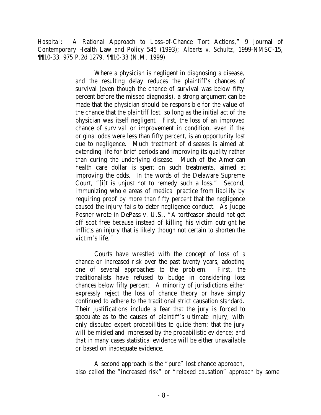*Hospital*: A Rational Approach to Loss-of-Chance Tort Actions," 9 Journal of Contemporary Health Law and Policy 545 (1993); *Alberts v. Schultz*, 1999-NMSC-15, ¶¶10-33, 975 P.2d 1279, ¶¶10-33 (N.M. 1999).

> Where a physician is negligent in diagnosing a disease, and the resulting delay reduces the plaintiff's chances of survival (even though the chance of survival was below fifty percent before the missed diagnosis), a strong argument can be made that the physician should be responsible for the value of the chance that the plaintiff lost, so long as the initial act of the physician was itself negligent. First, the loss of an improved chance of survival or improvement in condition, even if the original odds were less than fifty percent, is an opportunity lost due to negligence. Much treatment of diseases is aimed at extending life for brief periods and improving its quality rather than curing the underlying disease. Much of the American health care dollar is spent on such treatments, aimed at improving the odds. In the words of the Delaware Supreme Court, "[i]t is unjust not to remedy such a loss." Second, immunizing whole areas of medical practice from liability by requiring proof by more than fifty percent that the negligence caused the injury fails to deter negligence conduct. As Judge Posner wrote in DePass v. U.S., "A tortfeasor should not get off scot free because instead of killing his victim outright he inflicts an injury that is likely though not certain to shorten the victim's life."

> Courts have wrestled with the concept of loss of a chance or increased risk over the past twenty years, adopting one of several approaches to the problem. First, the traditionalists have refused to budge in considering loss chances below fifty percent. A minority of jurisdictions either expressly reject the loss of chance theory or have simply continued to adhere to the traditional strict causation standard. Their justifications include a fear that the jury is forced to speculate as to the causes of plaintiff's ultimate injury, with only disputed expert probabilities to guide them; that the jury will be misled and impressed by the probabilistic evidence; and that in many cases statistical evidence will be either unavailable or based on inadequate evidence.

A second approach is the "pure" lost chance approach, also called the "increased risk" or "relaxed causation" approach by some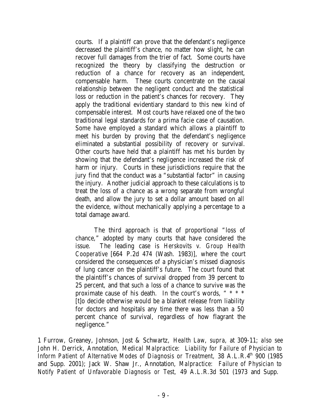courts. If a plaintiff can prove that the defendant's negligence decreased the plaintiff's chance, no matter how slight, he can recover full damages from the trier of fact. Some courts have recognized the theory by classifying the destruction or reduction of a chance for recovery as an independent, compensable harm. These courts concentrate on the causal relationship between the negligent conduct and the statistical loss or reduction in the patient's chances for recovery. They apply the traditional evidentiary standard to this new kind of compensable interest. Most courts have relaxed one of the two traditional legal standards for a prima facie case of causation. Some have employed a standard which allows a plaintiff to meet his burden by proving that the defendant's negligence eliminated a substantial possibility of recovery or survival. Other courts have held that a plaintiff has met his burden by showing that the defendant's negligence increased the risk of harm or injury. Courts in these jurisdictions require that the jury find that the conduct was a "substantial factor" in causing the injury. Another judicial approach to these calculations is to treat the loss of a chance as a wrong separate from wrongful death, and allow the jury to set a dollar amount based on all the evidence, without mechanically applying a percentage to a total damage award.

The third approach is that of proportional "loss of chance," adopted by many courts that have considered the issue. The leading case is *Herskovits v. Group Health Cooperative* [664 P.2d 474 (Wash. 1983)], where the court considered the consequences of a physician's missed diagnosis of lung cancer on the plaintiff's future. The court found that the plaintiff's chances of survival dropped from 39 percent to 25 percent, and that such a loss of a chance to survive was the proximate cause of his death. In the court's words, " $* * * *$ [t]o decide otherwise would be a blanket release from liability for doctors and hospitals any time there was less than a 50 percent chance of survival, regardless of how flagrant the negligence."

1 Furrow, Greaney, Johnson, Jost & Schwartz, *Health Law*, *supra*, at 309-11; *also see* John H. Derrick, Annotation, *Medical Malpractice: Liability for Failure of Physician to Inform Patient of Alternative Modes of Diagnosis or Treatment,* 38 A.L.R.4<sup>th</sup> 900 (1985) and Supp. 2001); Jack W. Shaw Jr., Annotation, *Malpractice: Failure of Physician to Notify Patient of Unfavorable Diagnosis or Test,* 49 A.L.R.3d 501 (1973 and Supp.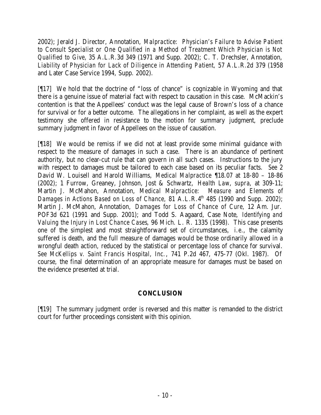2002); Jerald J. Director, Annotation, *Malpractice: Physician's Failure to Advise Patient to Consult Specialist or One Qualified in a Method of Treatment Which Physician is Not Qualified to Give,* 35 A.L.R.3d 349 (1971 and Supp. 2002); C. T. Drechsler, Annotation, *Liability of Physician for Lack of Diligence in Attending Patient,* 57 A.L.R.2d 379 (1958 and Later Case Service 1994, Supp. 2002).

[¶17] We hold that the doctrine of "loss of chance" is cognizable in Wyoming and that there is a genuine issue of material fact with respect to causation in this case. McMackin's contention is that the Appellees' conduct was the legal cause of Brown's loss of a chance for survival or for a better outcome. The allegations in her complaint, as well as the expert testimony she offered in resistance to the motion for summary judgment, preclude summary judgment in favor of Appellees on the issue of causation.

[¶18] We would be remiss if we did not at least provide some minimal guidance with respect to the measure of damages in such a case. There is an abundance of pertinent authority, but no clear-cut rule that can govern in all such cases. Instructions to the jury with respect to damages must be tailored to each case based on its peculiar facts. *See* 2 David W. Louisell and Harold Williams, *Medical Malpractice* ¶18.07 at 18-80 – 18-86 (2002); 1 Furrow, Greaney, Johnson, Jost & Schwartz, *Health Law*, *supra*, at 309-11; Martin J. McMahon, Annotation, *Medical Malpractice: Measure and Elements of Damages in Actions Based on Loss of Chance,* 81 A.L.R.4<sup>th</sup> 485 (1990 and Supp. 2002); Martin J. McMahon, Annotation, *Damages for Loss of Chance of Cure,* 12 Am. Jur. POF3d 621 (1991 and Supp. 2001); and Todd S. Aagaard, Case Note, *Identifying and Valuing the Injury in Lost Chance Cases*, 96 Mich. L. R. 1335 (1998). This case presents one of the simplest and most straightforward set of circumstances, *i.e.*, the calamity suffered is death, and the full measure of damages would be those ordinarily allowed in a wrongful death action, reduced by the statistical or percentage loss of chance for survival. *See McKellips v. Saint Francis Hospital, Inc.*, 741 P.2d 467, 475-77 (Okl. 1987). Of course, the final determination of an appropriate measure for damages must be based on the evidence presented at trial.

# **CONCLUSION**

[¶19] The summary judgment order is reversed and this matter is remanded to the district court for further proceedings consistent with this opinion.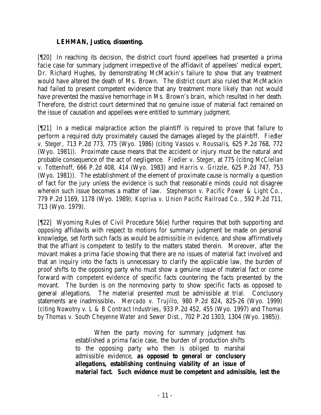## **LEHMAN, Justice, dissenting.**

[¶20] In reaching its decision, the district court found appellees had presented a prima facie case for summary judgment irrespective of the affidavit of appellees' medical expert, Dr. Richard Hughes, by demonstrating McMackin's failure to show that any treatment would have altered the death of Ms. Brown. The district court also ruled that McMackin had failed to present competent evidence that any treatment more likely than not would have prevented the massive hemorrhage in Ms. Brown's brain, which resulted in her death. Therefore, the district court determined that no genuine issue of material fact remained on the issue of causation and appellees were entitled to summary judgment.

[¶21] In a medical malpractice action the plaintiff is required to prove that failure to perform a required duty proximately caused the damages alleged by the plaintiff. *Fiedler v. Steger*, 713 P.2d 773, 775 (Wyo. 1986) (citing *Vassos v. Roussalis*, 625 P.2d 768, 772 (Wyo. 1981)). Proximate cause means that the accident or injury must be the natural and probable consequence of the act of negligence. *Fiedler v. Steger*, at 775 (citing *McClellan v. Tottenhoff*, 666 P.2d 408, 414 (Wyo. 1983) and *Harris v. Grizzle*, 625 P.2d 747, 753 (Wyo. 1981)). The establishment of the element of proximate cause is normally a question of fact for the jury unless the evidence is such that reasonable minds could not disagree wherein such issue becomes a matter of law. *Stephenson v. Pacific Power & Light Co.*, 779 P.2d 1169, 1178 (Wyo. 1989); *Kopriva v. Union Pacific Railroad Co.*, 592 P.2d 711, 713 (Wyo. 1979).

[¶22] Wyoming Rules of Civil Procedure 56(e) further requires that both supporting and opposing affidavits with respect to motions for summary judgment be made on personal knowledge, set forth such facts as would be *admissible in evidence*, and show affirmatively that the affiant is competent to testify to the matters stated therein. Moreover, after the movant makes a prima facie showing that there are no issues of material fact involved and that an inquiry into the facts is unnecessary to clarify the applicable law, the burden of proof shifts to the opposing party who must show a genuine issue of material fact or come forward with *competent evidence* of specific facts countering the facts presented by the movant. The burden is on the nonmoving party to show specific facts as opposed to general allegations. The material presented must be admissible at trial. Conclusory statements are inadmissible**.** *Mercado v. Trujillo*, 980 P.2d 824, 825-26 (Wyo. 1999) (citing *Nowotny v. L & B Contract Industries*, 933 P.2d 452, 455 (Wyo. 1997) and *Thomas by Thomas v. South Cheyenne Water and Sewer Dist.*, 702 P.2d 1303, 1304 (Wyo. 1985)).

> When the party moving for summary judgment has established a prima facie case, the burden of production shifts to the opposing party who then is obliged to marshal admissible evidence, *as opposed to general or conclusory allegations, establishing continuing viability of an issue of material fact. Such evidence must be competent and admissible, lest the*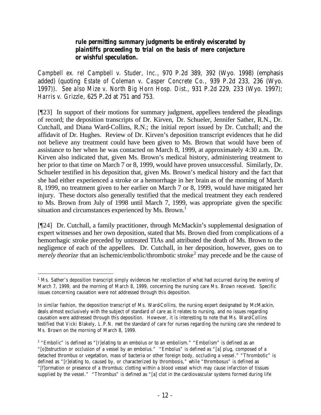## *rule permitting summary judgments be entirely eviscerated by plaintiffs proceeding to trial on the basis of mere conjecture or wishful speculation.*

*Campbell ex. rel Campbell v. Studer, Inc.*, 970 P.2d 389, 392 (Wyo. 1998) (emphasis added) (quoting *Estate of Coleman v. Casper Concrete Co.*, 939 P.2d 233, 236 (Wyo. 1997)). *See also Mize v. North Big Horn Hosp. Dist.*, 931 P.2d 229, 233 (Wyo. 1997); *Harris v. Grizzle*, 625 P.2d at 751 and 753.

[¶23] In support of their motions for summary judgment, appellees tendered the pleadings of record; the deposition transcripts of Dr. Kirven, Dr. Schueler, Jennifer Sather, R.N., Dr. Cutchall, and Diana Ward-Collins, R.N.; the initial report issued by Dr. Cutchall; and the affidavit of Dr. Hughes. Review of Dr. Kirven's deposition transcript evidences that he did not believe any treatment could have been given to Ms. Brown that would have been of assistance to her when he was contacted on March 8, 1999, at approximately 4:30 a.m. Dr. Kirven also indicated that, given Ms. Brown's medical history, administering treatment to her prior to that time on March 7 or 8, 1999, would have proven unsuccessful. Similarly, Dr. Schueler testified in his deposition that, given Ms. Brown's medical history and the fact that she had either experienced a stroke or a hemorrhage in her brain as of the morning of March 8, 1999, no treatment given to her earlier on March 7 or 8, 1999, would have mitigated her injury. These doctors also generally testified that the medical treatment they each rendered to Ms. Brown from July of 1998 until March 7, 1999, was appropriate given the specific situation and circumstances experienced by Ms. Brown.<sup>1</sup>

[¶24] Dr. Cutchall, a family practitioner, through McMackin's supplemental designation of expert witnesses and her own deposition, stated that Ms. Brown died from complications of a hemorrhagic stroke preceded by untreated TIAs and attributed the death of Ms. Brown to the negligence of each of the appellees. Dr. Cutchall, in her deposition, however, goes on to *merely theorize* that an ischemic/embolic/thrombotic stroke<sup>2</sup> may precede and be the cause of

<sup>&</sup>lt;sup>1</sup> Ms. Sather's deposition transcript simply evidences her recollection of what had occurred during the evening of March 7, 1999, and the morning of March 8, 1999, concerning the nursing care Ms. Brown received. Specific issues concerning causation were not addressed through this deposition.

In similar fashion, the deposition transcript of Ms. Ward-Collins, the nursing expert designated by McMackin, deals almost exclusively with the subject of standard of care as it relates to nursing, and no issues regarding causation were addressed through this deposition. However, it is interesting to note that Ms. Ward-Collins testified that Vicki Blakely, L.P.N. met the standard of care for nurses regarding the nursing care she rendered to Ms. Brown on the morning of March 8, 1999.

<sup>&</sup>lt;sup>2</sup> "Embolic" is defined as "[r]elating to an embolus or to an embolism." "Embolism" is defined as an "[o]bstruction or occlusion of a vessel by an embolus." "Embolus" is defined as "[a] plug, composed of a detached thrombus or vegetation, mass of bacteria or other foreign body, occluding a vessel." "Thrombotic" is defined as "[r]elating to, caused by, or characterized by thrombosis," while "thrombosus" is defined as "[f]ormation or presence of a thrombus; clotting within a blood vessel which may cause infarction of tissues supplied by the vessel." "Thrombus" is defined as "[a] clot in the cardiovascular systems formed during life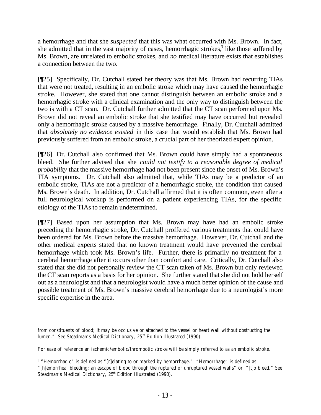a hemorrhage and that she *suspected* that this was what occurred with Ms. Brown. In fact, she admitted that in the vast majority of cases, hemorrhagic strokes, $3$  like those suffered by Ms. Brown, are unrelated to embolic strokes, and *no* medical literature exists that establishes a connection between the two.

[¶25] Specifically, Dr. Cutchall stated her theory was that Ms. Brown had recurring TIAs that were not treated, resulting in an embolic stroke which may have caused the hemorrhagic stroke. However, she stated that one cannot distinguish between an embolic stroke and a hemorrhagic stroke with a clinical examination and the only way to distinguish between the two is with a CT scan. Dr. Cutchall further admitted that the CT scan performed upon Ms. Brown did not reveal an embolic stroke that she testified may have occurred but revealed only a hemorrhagic stroke caused by a massive hemorrhage. Finally, Dr. Cutchall admitted that *absolutely no evidence existed* in this case that would establish that Ms. Brown had previously suffered from an embolic stroke, a crucial part of her theorized expert opinion.

[¶26] Dr. Cutchall also confirmed that Ms. Brown could have simply had a spontaneous bleed. She further advised that she *could not testify to a reasonable degree of medical probability* that the massive hemorrhage had not been present since the onset of Ms. Brown's TIA symptoms. Dr. Cutchall also admitted that, while TIAs may be a predictor of an embolic stroke, TIAs are not a predictor of a hemorrhagic stroke, the condition that caused Ms. Brown's death. In addition, Dr. Cutchall affirmed that it is often common, even after a full neurological workup is performed on a patient experiencing TIAs, for the specific etiology of the TIAs to remain undetermined.

[¶27] Based upon her assumption that Ms. Brown may have had an embolic stroke preceding the hemorrhagic stroke, Dr. Cutchall proffered various treatments that could have been ordered for Ms. Brown before the massive hemorrhage. However, Dr. Cutchall and the other medical experts stated that no known treatment would have prevented the cerebral hemorrhage which took Ms. Brown's life. Further, there is primarily no treatment for a cerebral hemorrhage after it occurs other than comfort and care. Critically, Dr. Cutchall also stated that she did not personally review the CT scan taken of Ms. Brown but only reviewed the CT scan reports as a basis for her opinion. She further stated that she did not hold herself out as a neurologist and that a neurologist would have a much better opinion of the cause and possible treatment of Ms. Brown's massive cerebral hemorrhage due to a neurologist's more specific expertise in the area.

from constituents of blood; it may be occlusive or attached to the vessel or heart wall without obstructing the lumen." *See* Steadman's Medical Dictionary, 25<sup>th</sup> Edition Illustrated (1990).

For ease of reference an ischemic/embolic/thrombotic stroke will be simply referred to as an embolic stroke.

<sup>&</sup>lt;sup>3</sup> "Hemorrhagic" is defined as "[r]elating to or marked by hemorrhage." "Hemorrhage" is defined as

<sup>&</sup>quot;[h]emorrhea; bleeding; an escape of blood through the ruptured or unruptured vessel walls" or "[t]o bleed." *See* Steadman's Medical Dictionary, 25<sup>th</sup> Edition Illustrated (1990).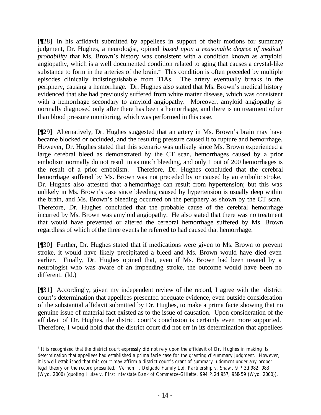[¶28] In his affidavit submitted by appellees in support of their motions for summary judgment, Dr. Hughes, a neurologist, opined *based upon a reasonable degree of medical probability* that Ms. Brown's history was consistent with a condition known as amyloid angiopathy, which is a well documented condition related to aging that causes a crystal-like substance to form in the arteries of the brain. $4$  This condition is often preceded by multiple episodes clinically indistinguishable from TIAs. The artery eventually breaks in the periphery, causing a hemorrhage. Dr. Hughes also stated that Ms. Brown's medical history evidenced that she had previously suffered from white matter disease, which was consistent with a hemorrhage secondary to amyloid angiopathy. Moreover, amyloid angiopathy is normally diagnosed only after there has been a hemorrhage, and there is no treatment other than blood pressure monitoring, which was performed in this case.

[¶29] Alternatively, Dr. Hughes suggested that an artery in Ms. Brown's brain may have became blocked or occluded, and the resulting pressure caused it to rupture and hemorrhage. However, Dr. Hughes stated that this scenario was unlikely since Ms. Brown experienced a large cerebral bleed as demonstrated by the CT scan, hemorrhages caused by a prior embolism normally do not result in as much bleeding, and only 1 out of 200 hemorrhages is the result of a prior embolism. Therefore, Dr. Hughes concluded that the cerebral hemorrhage suffered by Ms. Brown was not preceded by or caused by an embolic stroke. Dr. Hughes also attested that a hemorrhage can result from hypertension; but this was unlikely in Ms. Brown's case since bleeding caused by hypertension is usually deep within the brain, and Ms. Brown's bleeding occurred on the periphery as shown by the CT scan. Therefore, Dr. Hughes concluded that the probable cause of the cerebral hemorrhage incurred by Ms. Brown was amyloid angiopathy. He also stated that there was no treatment that would have prevented or altered the cerebral hemorrhage suffered by Ms. Brown regardless of which of the three events he referred to had caused that hemorrhage.

[¶30] Further, Dr. Hughes stated that if medications were given to Ms. Brown to prevent stroke, it would have likely precipitated a bleed and Ms. Brown would have died even earlier. Finally, Dr. Hughes opined that, even if Ms. Brown had been treated by a neurologist who was aware of an impending stroke, the outcome would have been no different. (Id.)

[¶31] Accordingly, given my independent review of the record, I agree with the district court's determination that appellees presented adequate evidence, even outside consideration of the substantial affidavit submitted by Dr. Hughes, to make a prima facie showing that no genuine issue of material fact existed as to the issue of causation. Upon consideration of the affidavit of Dr. Hughes, the district court's conclusion is certainly even more supported. Therefore, I would hold that the district court did not err in its determination that appellees

<sup>&</sup>lt;sup>4</sup> It is recognized that the district court expressly did not rely upon the affidavit of Dr. Hughes in making its determination that appellees had established a prima facie case for the granting of summary judgment. However, it is well established that this court may affirm a district court's grant of summary judgment under any proper legal theory on the record presented. *Vernon T. Delgado Family Ltd. Partnership v. Shaw*, 9 P.3d 982, 983 (Wyo. 2000) (quoting *Hulse v. First Interstate Bank of Commerce-Gillette*, 994 P.2d 957, 958-59 (Wyo. 2000)).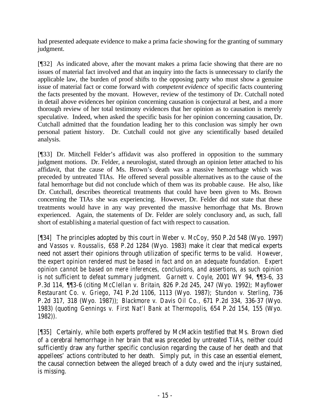had presented adequate evidence to make a prima facie showing for the granting of summary judgment.

[¶32] As indicated above, after the movant makes a prima facie showing that there are no issues of material fact involved and that an inquiry into the facts is unnecessary to clarify the applicable law, the burden of proof shifts to the opposing party who must show a genuine issue of material fact or come forward with *competent evidence* of specific facts countering the facts presented by the movant. However, review of the testimony of Dr. Cutchall noted in detail above evidences her opinion concerning causation is conjectural at best, and a more thorough review of her total testimony evidences that her opinion as to causation is merely speculative. Indeed, when asked the specific basis for her opinion concerning causation, Dr. Cutchall admitted that the foundation leading her to this conclusion was simply her own personal patient history. Dr. Cutchall could not give any scientifically based detailed analysis.

[¶33] Dr. Mitchell Felder's affidavit was also proffered in opposition to the summary judgment motions. Dr. Felder, a neurologist, stated through an opinion letter attached to his affidavit, that the cause of Ms. Brown's death was a massive hemorrhage which was preceded by untreated TIAs. He offered several possible alternatives as to the cause of the fatal hemorrhage but did not conclude which of them was its probable cause. He also, like Dr. Cutchall, describes theoretical treatments that could have been given to Ms. Brown concerning the TIAs she was experiencing. However, Dr. Felder did not state that these treatments would have in any way prevented the massive hemorrhage that Ms. Brown experienced. Again, the statements of Dr. Felder are solely conclusory and, as such, fall short of establishing a material question of fact with respect to causation.

[¶34] The principles adopted by this court in *Weber v. McCoy*, 950 P.2d 548 (Wyo. 1997) and *Vassos v. Roussalis*, 658 P.2d 1284 (Wyo. 1983) make it clear that medical experts need not assert their opinions through utilization of specific terms to be valid. *However, the expert opinion rendered must be based in fact and on an adequate foundation. Expert opinion cannot be based on mere inferences, conclusions, and assertions, as such opinion is not sufficient to defeat summary judgment. Garnett v. Coyle*, 2001 WY 94, ¶¶3-6, 33 P.3d 114, ¶¶3-6 (citing *McClellan v. Britain*, 826 P.2d 245, 247 (Wyo. 1992); *Mayflower Restaurant Co. v. Griego*, 741 P.2d 1106, 1113 (Wyo. 1987); *Stundon v. Sterling*, 736 P.2d 317, 318 (Wyo. 1987)); *Blackmore v. Davis Oil Co.*, 671 P.2d 334, 336-37 (Wyo. 1983) (quoting *Gennings v. First Nat'l Bank at Thermopolis*, 654 P.2d 154, 155 (Wyo. 1982)).

[¶35] Certainly, while both experts proffered by McMackin testified that Ms. Brown died of a cerebral hemorrhage in her brain that was preceded by untreated TIAs, neither could sufficiently draw any further specific conclusion regarding the cause of her death and that appellees' actions contributed to her death. Simply put, in this case an essential element, the causal connection between the alleged breach of a duty owed and the injury sustained, is missing.